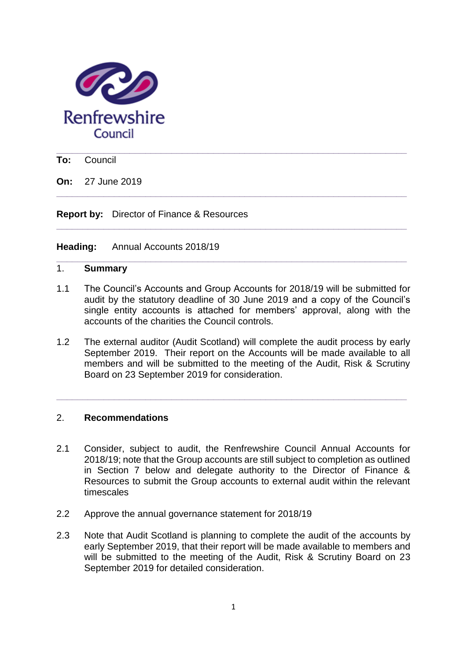

**\_\_\_\_\_\_\_\_\_\_\_\_\_\_\_\_\_\_\_\_\_\_\_\_\_\_\_\_\_\_\_\_\_\_\_\_\_\_\_\_\_\_\_\_\_\_\_\_\_\_\_\_\_\_\_\_\_\_\_\_\_\_\_\_\_\_\_ To:** Council

**On:** 27 June 2019

**Report by:** Director of Finance & Resources

**Heading:** Annual Accounts 2018/19

### 1. **Summary**

1.1 The Council's Accounts and Group Accounts for 2018/19 will be submitted for audit by the statutory deadline of 30 June 2019 and a copy of the Council's single entity accounts is attached for members' approval, along with the accounts of the charities the Council controls.

**\_\_\_\_\_\_\_\_\_\_\_\_\_\_\_\_\_\_\_\_\_\_\_\_\_\_\_\_\_\_\_\_\_\_\_\_\_\_\_\_\_\_\_\_\_\_\_\_\_\_\_\_\_\_\_\_\_\_\_\_\_\_\_\_\_\_\_**

**\_\_\_\_\_\_\_\_\_\_\_\_\_\_\_\_\_\_\_\_\_\_\_\_\_\_\_\_\_\_\_\_\_\_\_\_\_\_\_\_\_\_\_\_\_\_\_\_\_\_\_\_\_\_\_\_\_\_\_\_\_\_\_\_\_\_\_**

**\_\_\_\_\_\_\_\_\_\_\_\_\_\_\_\_\_\_\_\_\_\_\_\_\_\_\_\_\_\_\_\_\_\_\_\_\_\_\_\_\_\_\_\_\_\_\_\_\_\_\_\_\_\_\_\_\_\_\_\_\_\_\_\_\_\_\_**

1.2 The external auditor (Audit Scotland) will complete the audit process by early September 2019. Their report on the Accounts will be made available to all members and will be submitted to the meeting of the Audit, Risk & Scrutiny Board on 23 September 2019 for consideration.

**\_\_\_\_\_\_\_\_\_\_\_\_\_\_\_\_\_\_\_\_\_\_\_\_\_\_\_\_\_\_\_\_\_\_\_\_\_\_\_\_\_\_\_\_\_\_\_\_\_\_\_\_\_\_\_\_\_\_\_\_\_\_\_\_\_\_\_**

#### 2. **Recommendations**

- 2.1 Consider, subject to audit, the Renfrewshire Council Annual Accounts for 2018/19; note that the Group accounts are still subject to completion as outlined in Section 7 below and delegate authority to the Director of Finance & Resources to submit the Group accounts to external audit within the relevant timescales
- 2.2 Approve the annual governance statement for 2018/19
- 2.3 Note that Audit Scotland is planning to complete the audit of the accounts by early September 2019, that their report will be made available to members and will be submitted to the meeting of the Audit, Risk & Scrutiny Board on 23 September 2019 for detailed consideration.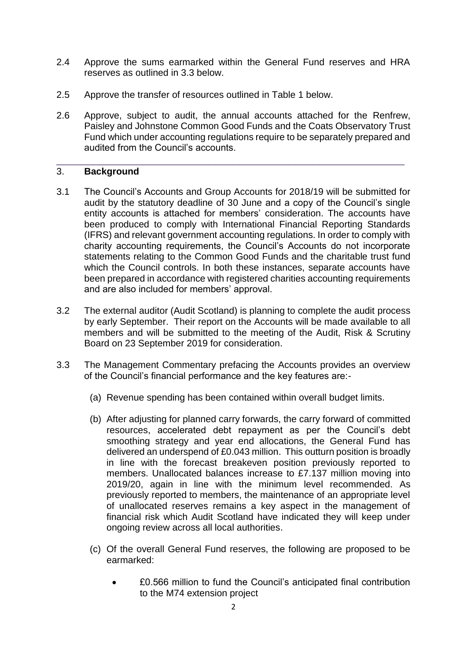- 2.4 Approve the sums earmarked within the General Fund reserves and HRA reserves as outlined in 3.3 below.
- 2.5 Approve the transfer of resources outlined in Table 1 below.
- 2.6 Approve, subject to audit, the annual accounts attached for the Renfrew, Paisley and Johnstone Common Good Funds and the Coats Observatory Trust Fund which under accounting regulations require to be separately prepared and audited from the Council's accounts.

\_\_\_\_\_\_\_\_\_\_\_\_\_\_\_\_\_\_\_\_\_\_\_\_\_\_\_\_\_\_\_\_\_\_\_\_\_\_\_\_\_\_\_\_\_\_\_\_\_\_\_\_\_\_\_\_\_

### 3. **Background**

- 3.1 The Council's Accounts and Group Accounts for 2018/19 will be submitted for audit by the statutory deadline of 30 June and a copy of the Council's single entity accounts is attached for members' consideration. The accounts have been produced to comply with International Financial Reporting Standards (IFRS) and relevant government accounting regulations. In order to comply with charity accounting requirements, the Council's Accounts do not incorporate statements relating to the Common Good Funds and the charitable trust fund which the Council controls. In both these instances, separate accounts have been prepared in accordance with registered charities accounting requirements and are also included for members' approval.
- 3.2 The external auditor (Audit Scotland) is planning to complete the audit process by early September. Their report on the Accounts will be made available to all members and will be submitted to the meeting of the Audit, Risk & Scrutiny Board on 23 September 2019 for consideration.
- 3.3 The Management Commentary prefacing the Accounts provides an overview of the Council's financial performance and the key features are:-
	- (a) Revenue spending has been contained within overall budget limits.
	- (b) After adjusting for planned carry forwards, the carry forward of committed resources, accelerated debt repayment as per the Council's debt smoothing strategy and year end allocations, the General Fund has delivered an underspend of £0.043 million. This outturn position is broadly in line with the forecast breakeven position previously reported to members. Unallocated balances increase to £7.137 million moving into 2019/20, again in line with the minimum level recommended. As previously reported to members, the maintenance of an appropriate level of unallocated reserves remains a key aspect in the management of financial risk which Audit Scotland have indicated they will keep under ongoing review across all local authorities.
	- (c) Of the overall General Fund reserves, the following are proposed to be earmarked:
		- £0.566 million to fund the Council's anticipated final contribution to the M74 extension project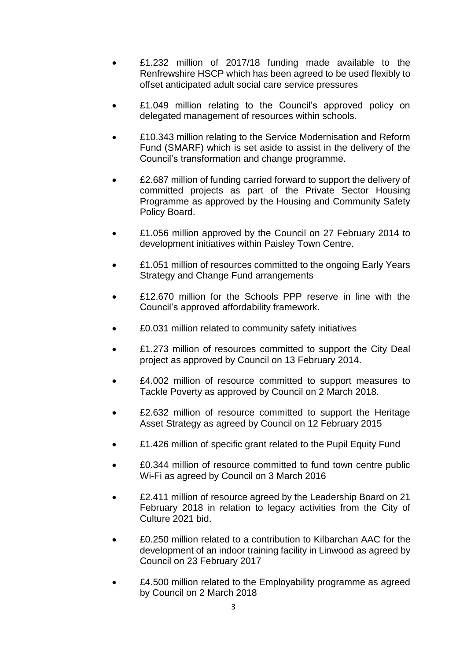- £1.232 million of 2017/18 funding made available to the Renfrewshire HSCP which has been agreed to be used flexibly to offset anticipated adult social care service pressures
- £1.049 million relating to the Council's approved policy on delegated management of resources within schools.
- £10.343 million relating to the Service Modernisation and Reform Fund (SMARF) which is set aside to assist in the delivery of the Council's transformation and change programme.
- £2.687 million of funding carried forward to support the delivery of committed projects as part of the Private Sector Housing Programme as approved by the Housing and Community Safety Policy Board.
- £1.056 million approved by the Council on 27 February 2014 to development initiatives within Paisley Town Centre.
- £1.051 million of resources committed to the ongoing Early Years Strategy and Change Fund arrangements
- £12.670 million for the Schools PPP reserve in line with the Council's approved affordability framework.
- £0.031 million related to community safety initiatives
- £1.273 million of resources committed to support the City Deal project as approved by Council on 13 February 2014.
- £4.002 million of resource committed to support measures to Tackle Poverty as approved by Council on 2 March 2018.
- £2.632 million of resource committed to support the Heritage Asset Strategy as agreed by Council on 12 February 2015
- £1.426 million of specific grant related to the Pupil Equity Fund
- £0.344 million of resource committed to fund town centre public Wi-Fi as agreed by Council on 3 March 2016
- £2.411 million of resource agreed by the Leadership Board on 21 February 2018 in relation to legacy activities from the City of Culture 2021 bid.
- £0.250 million related to a contribution to Kilbarchan AAC for the development of an indoor training facility in Linwood as agreed by Council on 23 February 2017
- £4.500 million related to the Employability programme as agreed by Council on 2 March 2018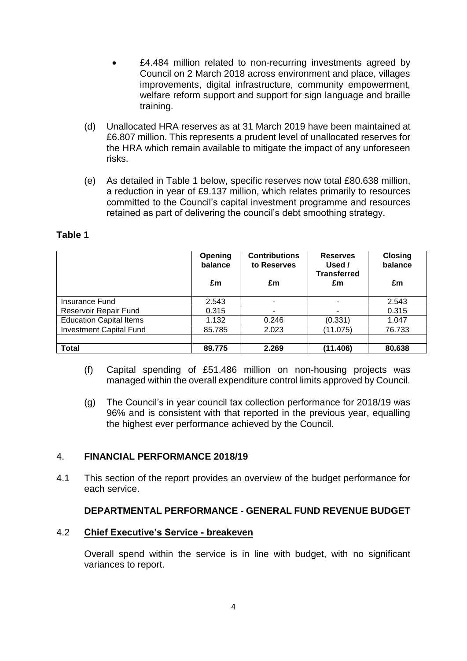- E4.484 million related to non-recurring investments agreed by Council on 2 March 2018 across environment and place, villages improvements, digital infrastructure, community empowerment, welfare reform support and support for sign language and braille training.
- (d) Unallocated HRA reserves as at 31 March 2019 have been maintained at £6.807 million. This represents a prudent level of unallocated reserves for the HRA which remain available to mitigate the impact of any unforeseen risks.
- (e) As detailed in Table 1 below, specific reserves now total £80.638 million, a reduction in year of £9.137 million, which relates primarily to resources committed to the Council's capital investment programme and resources retained as part of delivering the council's debt smoothing strategy.

|                                | Opening<br>balance | <b>Contributions</b><br>to Reserves | <b>Reserves</b><br>Used /<br><b>Transferred</b> | <b>Closing</b><br>balance |
|--------------------------------|--------------------|-------------------------------------|-------------------------------------------------|---------------------------|
|                                | £m                 | £m                                  | £m                                              | £m                        |
| Insurance Fund                 | 2.543              | ۰                                   |                                                 | 2.543                     |
| Reservoir Repair Fund          | 0.315              |                                     |                                                 | 0.315                     |
| <b>Education Capital Items</b> | 1.132              | 0.246                               | (0.331)                                         | 1.047                     |
| <b>Investment Capital Fund</b> | 85.785             | 2.023                               | (11.075)                                        | 76.733                    |
|                                |                    |                                     |                                                 |                           |
| <b>Total</b>                   | 89.775             | 2.269                               | (11.406)                                        | 80.638                    |

# **Table 1**

- (f) Capital spending of £51.486 million on non-housing projects was managed within the overall expenditure control limits approved by Council.
- (g) The Council's in year council tax collection performance for 2018/19 was 96% and is consistent with that reported in the previous year, equalling the highest ever performance achieved by the Council.

# 4. **FINANCIAL PERFORMANCE 2018/19**

4.1 This section of the report provides an overview of the budget performance for each service.

# **DEPARTMENTAL PERFORMANCE - GENERAL FUND REVENUE BUDGET**

#### 4.2 **Chief Executive's Service - breakeven**

Overall spend within the service is in line with budget, with no significant variances to report.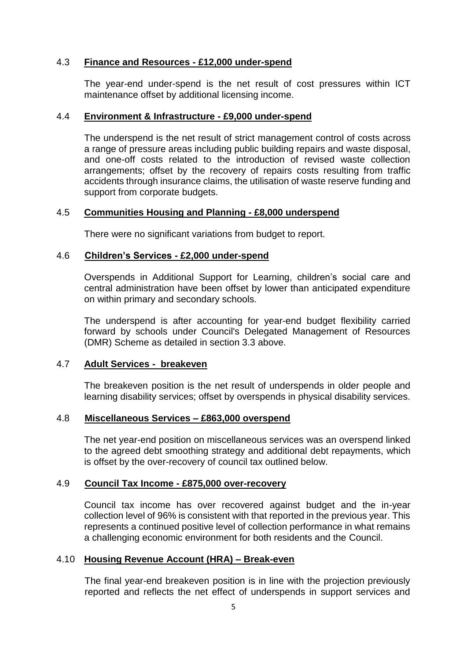### 4.3 **Finance and Resources - £12,000 under-spend**

The year-end under-spend is the net result of cost pressures within ICT maintenance offset by additional licensing income.

### 4.4 **Environment & Infrastructure - £9,000 under-spend**

The underspend is the net result of strict management control of costs across a range of pressure areas including public building repairs and waste disposal, and one-off costs related to the introduction of revised waste collection arrangements; offset by the recovery of repairs costs resulting from traffic accidents through insurance claims, the utilisation of waste reserve funding and support from corporate budgets.

#### 4.5 **Communities Housing and Planning - £8,000 underspend**

There were no significant variations from budget to report.

### 4.6 **Children's Services - £2,000 under-spend**

Overspends in Additional Support for Learning, children's social care and central administration have been offset by lower than anticipated expenditure on within primary and secondary schools.

The underspend is after accounting for year-end budget flexibility carried forward by schools under Council's Delegated Management of Resources (DMR) Scheme as detailed in section 3.3 above.

# 4.7 **Adult Services - breakeven**

The breakeven position is the net result of underspends in older people and learning disability services; offset by overspends in physical disability services.

## 4.8 **Miscellaneous Services – £863,000 overspend**

The net year-end position on miscellaneous services was an overspend linked to the agreed debt smoothing strategy and additional debt repayments, which is offset by the over-recovery of council tax outlined below.

#### 4.9 **Council Tax Income - £875,000 over-recovery**

Council tax income has over recovered against budget and the in-year collection level of 96% is consistent with that reported in the previous year. This represents a continued positive level of collection performance in what remains a challenging economic environment for both residents and the Council.

# 4.10 **Housing Revenue Account (HRA) – Break-even**

The final year-end breakeven position is in line with the projection previously reported and reflects the net effect of underspends in support services and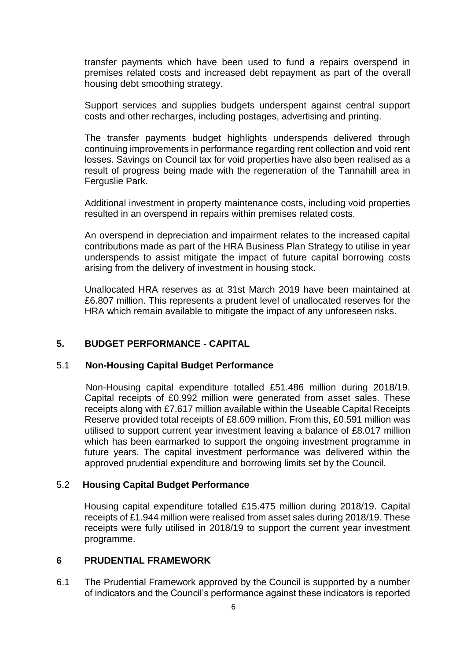transfer payments which have been used to fund a repairs overspend in premises related costs and increased debt repayment as part of the overall housing debt smoothing strategy.

Support services and supplies budgets underspent against central support costs and other recharges, including postages, advertising and printing.

The transfer payments budget highlights underspends delivered through continuing improvements in performance regarding rent collection and void rent losses. Savings on Council tax for void properties have also been realised as a result of progress being made with the regeneration of the Tannahill area in Ferguslie Park.

Additional investment in property maintenance costs, including void properties resulted in an overspend in repairs within premises related costs.

An overspend in depreciation and impairment relates to the increased capital contributions made as part of the HRA Business Plan Strategy to utilise in year underspends to assist mitigate the impact of future capital borrowing costs arising from the delivery of investment in housing stock.

Unallocated HRA reserves as at 31st March 2019 have been maintained at £6.807 million. This represents a prudent level of unallocated reserves for the HRA which remain available to mitigate the impact of any unforeseen risks.

# **5. BUDGET PERFORMANCE - CAPITAL**

# 5.1 **Non-Housing Capital Budget Performance**

 Non-Housing capital expenditure totalled £51.486 million during 2018/19. Capital receipts of £0.992 million were generated from asset sales. These receipts along with £7.617 million available within the Useable Capital Receipts Reserve provided total receipts of £8.609 million. From this, £0.591 million was utilised to support current year investment leaving a balance of £8.017 million which has been earmarked to support the ongoing investment programme in future years. The capital investment performance was delivered within the approved prudential expenditure and borrowing limits set by the Council.

#### 5.2 **Housing Capital Budget Performance**

 Housing capital expenditure totalled £15.475 million during 2018/19. Capital receipts of £1.944 million were realised from asset sales during 2018/19. These receipts were fully utilised in 2018/19 to support the current year investment programme.

#### **6 PRUDENTIAL FRAMEWORK**

6.1 The Prudential Framework approved by the Council is supported by a number of indicators and the Council's performance against these indicators is reported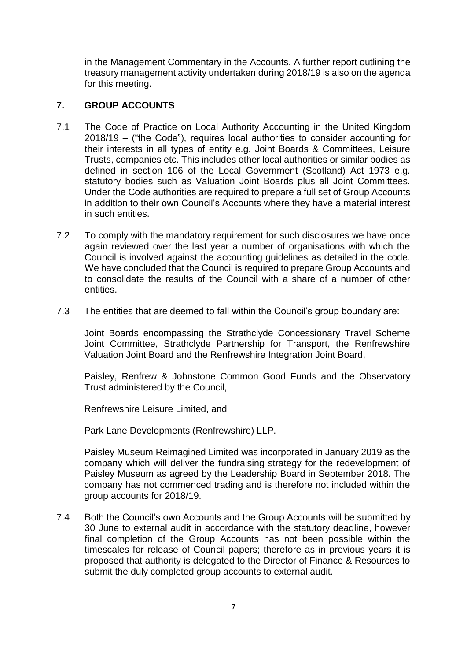in the Management Commentary in the Accounts. A further report outlining the treasury management activity undertaken during 2018/19 is also on the agenda for this meeting.

# **7. GROUP ACCOUNTS**

- 7.1 The Code of Practice on Local Authority Accounting in the United Kingdom 2018/19 – ("the Code"), requires local authorities to consider accounting for their interests in all types of entity e.g. Joint Boards & Committees, Leisure Trusts, companies etc. This includes other local authorities or similar bodies as defined in section 106 of the Local Government (Scotland) Act 1973 e.g. statutory bodies such as Valuation Joint Boards plus all Joint Committees. Under the Code authorities are required to prepare a full set of Group Accounts in addition to their own Council's Accounts where they have a material interest in such entities.
- 7.2 To comply with the mandatory requirement for such disclosures we have once again reviewed over the last year a number of organisations with which the Council is involved against the accounting guidelines as detailed in the code. We have concluded that the Council is required to prepare Group Accounts and to consolidate the results of the Council with a share of a number of other entities.
- 7.3 The entities that are deemed to fall within the Council's group boundary are:

Joint Boards encompassing the Strathclyde Concessionary Travel Scheme Joint Committee, Strathclyde Partnership for Transport, the Renfrewshire Valuation Joint Board and the Renfrewshire Integration Joint Board,

Paisley, Renfrew & Johnstone Common Good Funds and the Observatory Trust administered by the Council,

Renfrewshire Leisure Limited, and

Park Lane Developments (Renfrewshire) LLP.

Paisley Museum Reimagined Limited was incorporated in January 2019 as the company which will deliver the fundraising strategy for the redevelopment of Paisley Museum as agreed by the Leadership Board in September 2018. The company has not commenced trading and is therefore not included within the group accounts for 2018/19.

7.4 Both the Council's own Accounts and the Group Accounts will be submitted by 30 June to external audit in accordance with the statutory deadline, however final completion of the Group Accounts has not been possible within the timescales for release of Council papers; therefore as in previous years it is proposed that authority is delegated to the Director of Finance & Resources to submit the duly completed group accounts to external audit.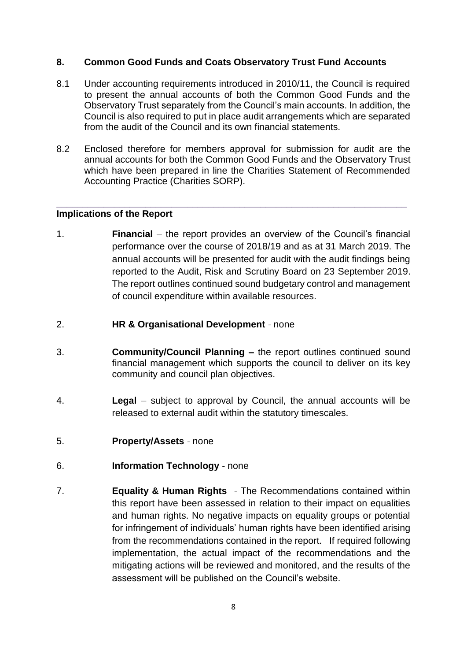# **8. Common Good Funds and Coats Observatory Trust Fund Accounts**

- 8.1 Under accounting requirements introduced in 2010/11, the Council is required to present the annual accounts of both the Common Good Funds and the Observatory Trust separately from the Council's main accounts. In addition, the Council is also required to put in place audit arrangements which are separated from the audit of the Council and its own financial statements.
- 8.2 Enclosed therefore for members approval for submission for audit are the annual accounts for both the Common Good Funds and the Observatory Trust which have been prepared in line the Charities Statement of Recommended Accounting Practice (Charities SORP).

**\_\_\_\_\_\_\_\_\_\_\_\_\_\_\_\_\_\_\_\_\_\_\_\_\_\_\_\_\_\_\_\_\_\_\_\_\_\_\_\_\_\_\_\_\_\_\_\_\_\_\_\_\_\_\_\_\_\_\_\_\_\_\_\_\_\_\_**

# **Implications of the Report**

- 1. **Financial** *–* the report provides an overview of the Council's financial performance over the course of 2018/19 and as at 31 March 2019. The annual accounts will be presented for audit with the audit findings being reported to the Audit, Risk and Scrutiny Board on 23 September 2019. The report outlines continued sound budgetary control and management of council expenditure within available resources.
- 2. **HR & Organisational Development** *-* none
- 3. **Community/Council Planning –** the report outlines continued sound financial management which supports the council to deliver on its key community and council plan objectives.
- 4. **Legal** *–* subject to approval by Council, the annual accounts will be released to external audit within the statutory timescales.
- 5. **Property/Assets** *-* none
- 6. **Information Technology** *-* none
- 7. **Equality & Human Rights** *-* The Recommendations contained within this report have been assessed in relation to their impact on equalities and human rights. No negative impacts on equality groups or potential for infringement of individuals' human rights have been identified arising from the recommendations contained in the report. If required following implementation, the actual impact of the recommendations and the mitigating actions will be reviewed and monitored, and the results of the assessment will be published on the Council's website.